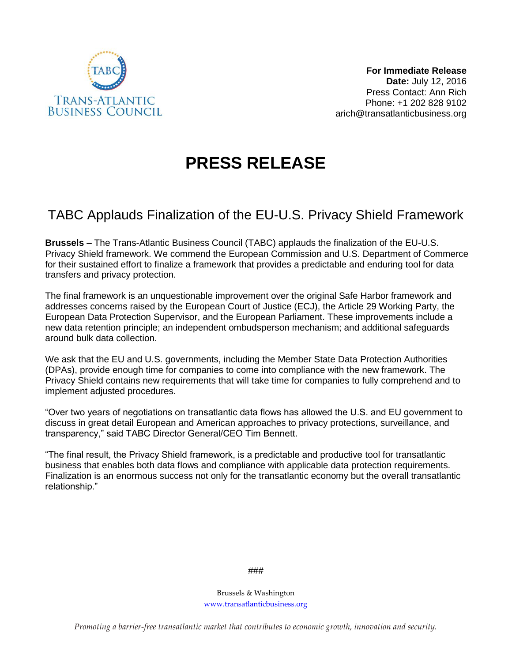

## **PRESS RELEASE**

## TABC Applauds Finalization of the EU-U.S. Privacy Shield Framework

**Brussels –** The Trans-Atlantic Business Council (TABC) applauds the finalization of the EU-U.S. Privacy Shield framework. We commend the European Commission and U.S. Department of Commerce for their sustained effort to finalize a framework that provides a predictable and enduring tool for data transfers and privacy protection.

The final framework is an unquestionable improvement over the original Safe Harbor framework and addresses concerns raised by the European Court of Justice (ECJ), the Article 29 Working Party, the European Data Protection Supervisor, and the European Parliament. These improvements include a new data retention principle; an independent ombudsperson mechanism; and additional safeguards around bulk data collection.

We ask that the EU and U.S. governments, including the Member State Data Protection Authorities (DPAs), provide enough time for companies to come into compliance with the new framework. The Privacy Shield contains new requirements that will take time for companies to fully comprehend and to implement adjusted procedures.

"Over two years of negotiations on transatlantic data flows has allowed the U.S. and EU government to discuss in great detail European and American approaches to privacy protections, surveillance, and transparency," said TABC Director General/CEO Tim Bennett.

"The final result, the Privacy Shield framework, is a predictable and productive tool for transatlantic business that enables both data flows and compliance with applicable data protection requirements. Finalization is an enormous success not only for the transatlantic economy but the overall transatlantic relationship."

###

Brussels & Washington [www.transatlanticbusiness.org](http://www.transatlanticbusiness.org/)